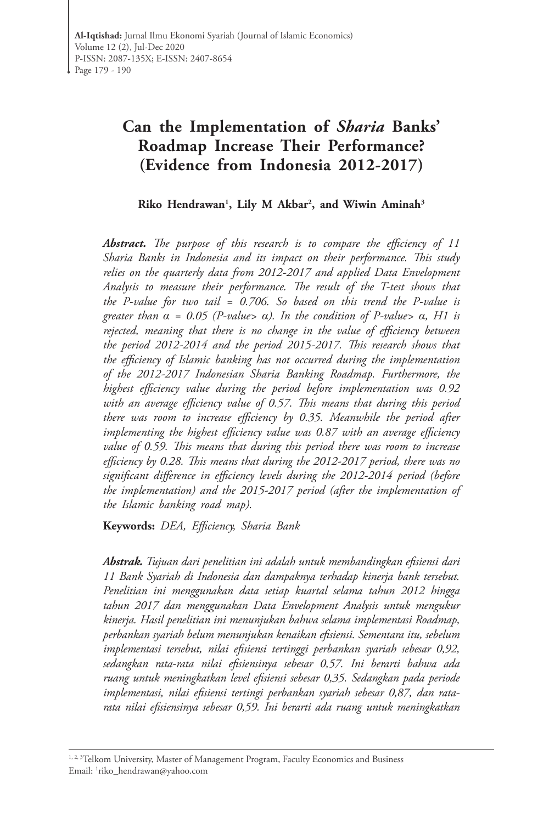# **Can the Implementation of** *Sharia* **Banks' Roadmap Increase Their Performance? (Evidence from Indonesia 2012-2017)**

# **Riko Hendrawan1 , Lily M Akbar2 , and Wiwin Aminah3**

*Abstract. The purpose of this research is to compare the efficiency of 11 Sharia Banks in Indonesia and its impact on their performance. This study relies on the quarterly data from 2012-2017 and applied Data Envelopment Analysis to measure their performance. The result of the T-test shows that the P-value for two tail = 0.706. So based on this trend the P-value is greater than α = 0.05 (P-value> α). In the condition of P-value> α, H1 is rejected, meaning that there is no change in the value of efficiency between the period 2012-2014 and the period 2015-2017. This research shows that the efficiency of Islamic banking has not occurred during the implementation of the 2012-2017 Indonesian Sharia Banking Roadmap. Furthermore, the highest efficiency value during the period before implementation was 0.92 with an average efficiency value of 0.57. This means that during this period there was room to increase efficiency by 0.35. Meanwhile the period after implementing the highest efficiency value was 0.87 with an average efficiency value of 0.59. This means that during this period there was room to increase efficiency by 0.28. This means that during the 2012-2017 period, there was no significant difference in efficiency levels during the 2012-2014 period (before the implementation) and the 2015-2017 period (after the implementation of the Islamic banking road map).*

**Keywords:** *DEA, Efficiency, Sharia Bank* 

*Abstrak. Tujuan dari penelitian ini adalah untuk membandingkan efisiensi dari 11 Bank Syariah di Indonesia dan dampaknya terhadap kinerja bank tersebut. Penelitian ini menggunakan data setiap kuartal selama tahun 2012 hingga tahun 2017 dan menggunakan Data Envelopment Analysis untuk mengukur kinerja. Hasil penelitian ini menunjukan bahwa selama implementasi Roadmap, perbankan syariah belum menunjukan kenaikan efisiensi. Sementara itu, sebelum implementasi tersebut, nilai efisiensi tertinggi perbankan syariah sebesar 0,92, sedangkan rata-rata nilai efisiensinya sebesar 0,57. Ini berarti bahwa ada ruang untuk meningkatkan level efisiensi sebesar 0,35. Sedangkan pada periode implementasi, nilai efisiensi tertingi perbankan syariah sebesar 0,87, dan ratarata nilai efisiensinya sebesar 0,59. Ini berarti ada ruang untuk meningkatkan* 

<sup>1, 2, 3</sup> Telkom University, Master of Management Program, Faculty Economics and Business Email: 1 riko\_hendrawan@yahoo.com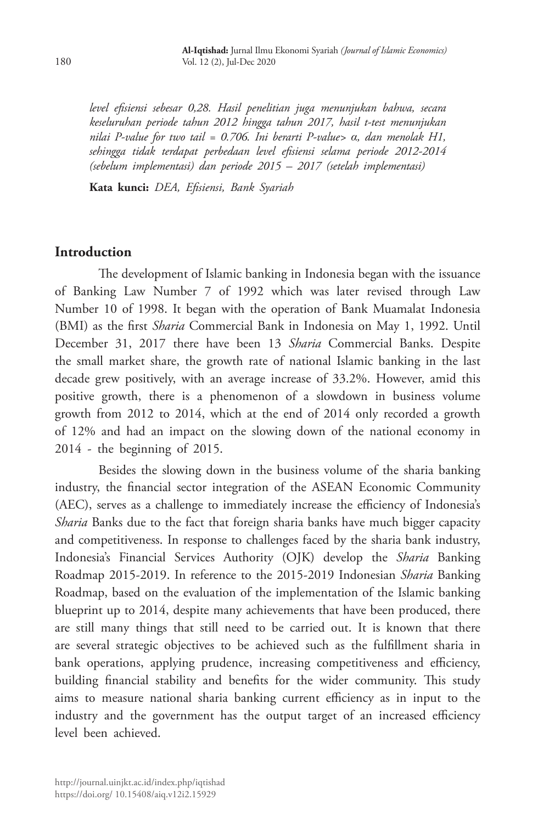*level efisiensi sebesar 0,28. Hasil penelitian juga menunjukan bahwa, secara keseluruhan periode tahun 2012 hingga tahun 2017, hasil t-test menunjukan nilai P-value for two tail = 0.706. Ini berarti P-value> α, dan menolak H1, sehingga tidak terdapat perbedaan level efisiensi selama periode 2012-2014 (sebelum implementasi) dan periode 2015 – 2017 (setelah implementasi)*

**Kata kunci:** *DEA, Efisiensi, Bank Syariah*

### **Introduction**

The development of Islamic banking in Indonesia began with the issuance of Banking Law Number 7 of 1992 which was later revised through Law Number 10 of 1998. It began with the operation of Bank Muamalat Indonesia (BMI) as the first *Sharia* Commercial Bank in Indonesia on May 1, 1992. Until December 31, 2017 there have been 13 *Sharia* Commercial Banks. Despite the small market share, the growth rate of national Islamic banking in the last decade grew positively, with an average increase of 33.2%. However, amid this positive growth, there is a phenomenon of a slowdown in business volume growth from 2012 to 2014, which at the end of 2014 only recorded a growth of 12% and had an impact on the slowing down of the national economy in 2014 - the beginning of 2015.

Besides the slowing down in the business volume of the sharia banking industry, the financial sector integration of the ASEAN Economic Community (AEC), serves as a challenge to immediately increase the efficiency of Indonesia's *Sharia* Banks due to the fact that foreign sharia banks have much bigger capacity and competitiveness. In response to challenges faced by the sharia bank industry, Indonesia's Financial Services Authority (OJK) develop the *Sharia* Banking Roadmap 2015-2019. In reference to the 2015-2019 Indonesian *Sharia* Banking Roadmap, based on the evaluation of the implementation of the Islamic banking blueprint up to 2014, despite many achievements that have been produced, there are still many things that still need to be carried out. It is known that there are several strategic objectives to be achieved such as the fulfillment sharia in bank operations, applying prudence, increasing competitiveness and efficiency, building financial stability and benefits for the wider community. This study aims to measure national sharia banking current efficiency as in input to the industry and the government has the output target of an increased efficiency level been achieved.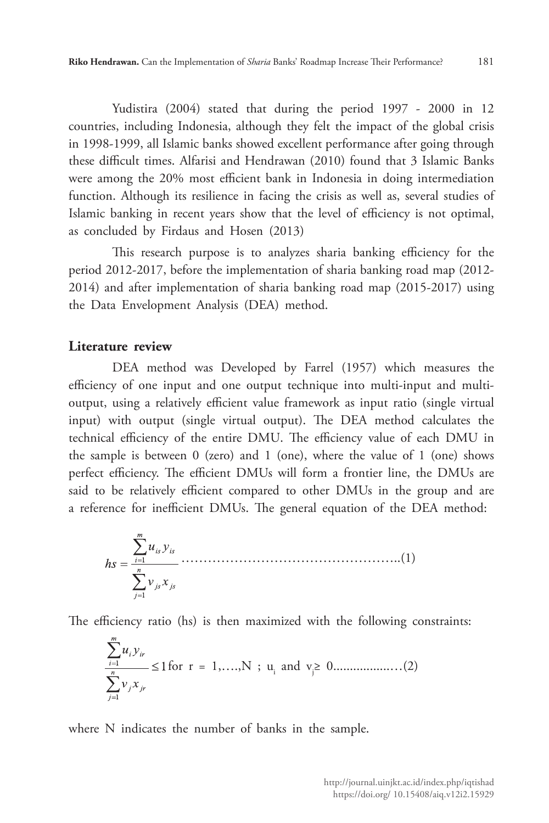Yudistira (2004) stated that during the period 1997 - 2000 in 12 countries, including Indonesia, although they felt the impact of the global crisis in 1998-1999, all Islamic banks showed excellent performance after going through these difficult times. Alfarisi and Hendrawan (2010) found that 3 Islamic Banks were among the 20% most efficient bank in Indonesia in doing intermediation function. Although its resilience in facing the crisis as well as, several studies of Islamic banking in recent years show that the level of efficiency is not optimal, as concluded by Firdaus and Hosen (2013)

This research purpose is to analyzes sharia banking efficiency for the period 2012-2017, before the implementation of sharia banking road map (2012- 2014) and after implementation of sharia banking road map (2015-2017) using the Data Envelopment Analysis (DEA) method.

### **Literature review**

DEA method was Developed by Farrel (1957) which measures the efficiency of one input and one output technique into multi-input and multioutput, using a relatively efficient value framework as input ratio (single virtual input) with output (single virtual output). The DEA method calculates the technical efficiency of the entire DMU. The efficiency value of each DMU in the sample is between 0 (zero) and 1 (one), where the value of 1 (one) shows perfect efficiency. The efficient DMUs will form a frontier line, the DMUs are said to be relatively efficient compared to other DMUs in the group and are a reference for inefficient DMUs. The general equation of the DEA method:

$$
hs = \frac{\sum_{i=1}^{m} u_{is} y_{is}}{\sum_{j=1}^{n} v_{js} x_{js}}
$$
 (1)

The efficiency ratio (hs) is then maximized with the following constraints:

$$
\sum_{i=1}^{\infty} u_i y_{ir}
$$
  

$$
\sum_{j=1}^{n} v_j x_{jr}
$$
  $\leq 1$  for  $r = 1,...,N$ ;  $u_i$  and  $v_j \geq 0$ .................(2)

where N indicates the number of banks in the sample.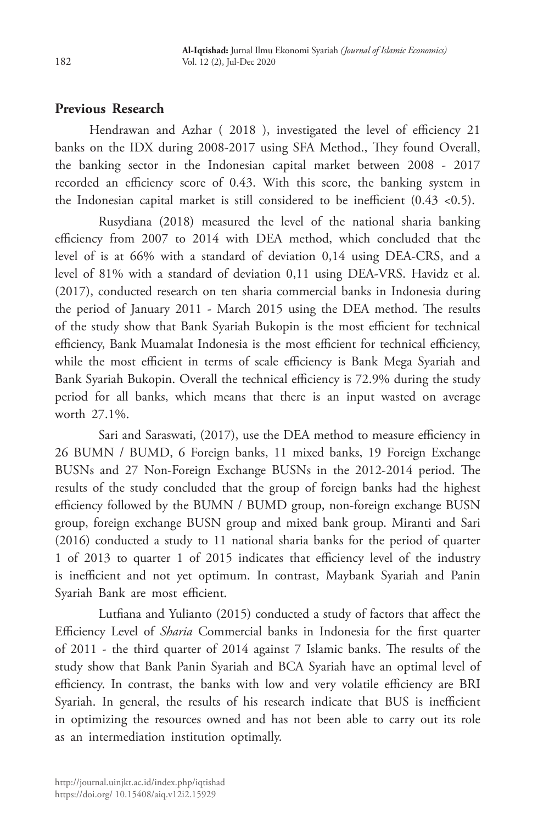# **Previous Research**

Hendrawan and Azhar ( 2018 ), investigated the level of efficiency 21 banks on the IDX during 2008-2017 using SFA Method., They found Overall, the banking sector in the Indonesian capital market between 2008 - 2017 recorded an efficiency score of 0.43. With this score, the banking system in the Indonesian capital market is still considered to be inefficient  $(0.43 \le 0.5)$ .

Rusydiana (2018) measured the level of the national sharia banking efficiency from 2007 to 2014 with DEA method, which concluded that the level of is at 66% with a standard of deviation 0,14 using DEA-CRS, and a level of 81% with a standard of deviation 0,11 using DEA-VRS. Havidz et al. (2017), conducted research on ten sharia commercial banks in Indonesia during the period of January 2011 - March 2015 using the DEA method. The results of the study show that Bank Syariah Bukopin is the most efficient for technical efficiency, Bank Muamalat Indonesia is the most efficient for technical efficiency, while the most efficient in terms of scale efficiency is Bank Mega Syariah and Bank Syariah Bukopin. Overall the technical efficiency is 72.9% during the study period for all banks, which means that there is an input wasted on average worth 27.1%.

Sari and Saraswati, (2017), use the DEA method to measure efficiency in 26 BUMN / BUMD, 6 Foreign banks, 11 mixed banks, 19 Foreign Exchange BUSNs and 27 Non-Foreign Exchange BUSNs in the 2012-2014 period. The results of the study concluded that the group of foreign banks had the highest efficiency followed by the BUMN / BUMD group, non-foreign exchange BUSN group, foreign exchange BUSN group and mixed bank group. Miranti and Sari (2016) conducted a study to 11 national sharia banks for the period of quarter 1 of 2013 to quarter 1 of 2015 indicates that efficiency level of the industry is inefficient and not yet optimum. In contrast, Maybank Syariah and Panin Syariah Bank are most efficient.

Lutfiana and Yulianto (2015) conducted a study of factors that affect the Efficiency Level of *Sharia* Commercial banks in Indonesia for the first quarter of 2011 - the third quarter of 2014 against 7 Islamic banks. The results of the study show that Bank Panin Syariah and BCA Syariah have an optimal level of efficiency. In contrast, the banks with low and very volatile efficiency are BRI Syariah. In general, the results of his research indicate that BUS is inefficient in optimizing the resources owned and has not been able to carry out its role as an intermediation institution optimally.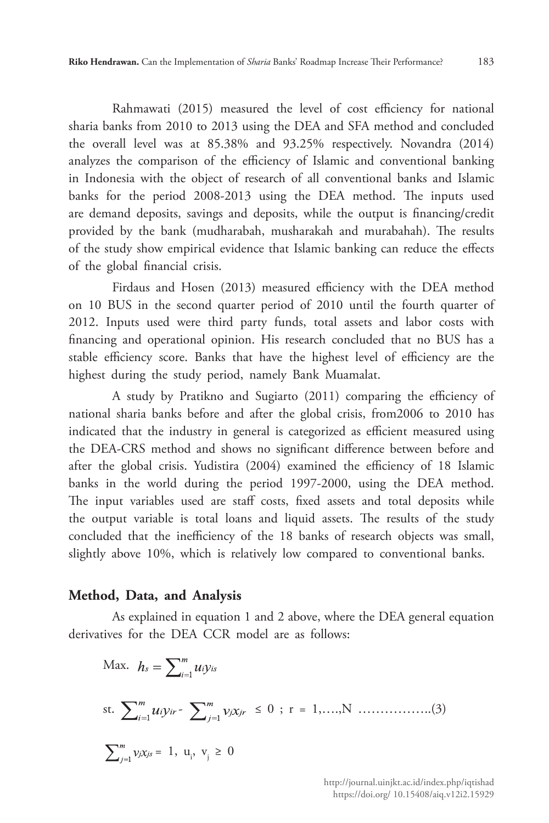Rahmawati (2015) measured the level of cost efficiency for national sharia banks from 2010 to 2013 using the DEA and SFA method and concluded the overall level was at 85.38% and 93.25% respectively. Novandra (2014) analyzes the comparison of the efficiency of Islamic and conventional banking in Indonesia with the object of research of all conventional banks and Islamic banks for the period 2008-2013 using the DEA method. The inputs used are demand deposits, savings and deposits, while the output is financing/credit provided by the bank (mudharabah, musharakah and murabahah). The results of the study show empirical evidence that Islamic banking can reduce the effects of the global financial crisis.

Firdaus and Hosen (2013) measured efficiency with the DEA method on 10 BUS in the second quarter period of 2010 until the fourth quarter of 2012. Inputs used were third party funds, total assets and labor costs with financing and operational opinion. His research concluded that no BUS has a stable efficiency score. Banks that have the highest level of efficiency are the highest during the study period, namely Bank Muamalat.

A study by Pratikno and Sugiarto (2011) comparing the efficiency of national sharia banks before and after the global crisis, from2006 to 2010 has indicated that the industry in general is categorized as efficient measured using the DEA-CRS method and shows no significant difference between before and after the global crisis. Yudistira (2004) examined the efficiency of 18 Islamic banks in the world during the period 1997-2000, using the DEA method. The input variables used are staff costs, fixed assets and total deposits while the output variable is total loans and liquid assets. The results of the study concluded that the inefficiency of the 18 banks of research objects was small, slightly above 10%, which is relatively low compared to conventional banks.

#### **Method, Data, and Analysis**

As explained in equation 1 and 2 above, where the DEA general equation derivatives for the DEA CCR model are as follows:

Max. 
$$
h_s = \sum_{i=1}^{m} u_i y_{is}
$$
  
\nst.  $\sum_{i=1}^{m} u_i y_{ir} - \sum_{j=1}^{m} v_j x_{jr} \le 0$ ;  $r = 1,...,N$  .........(3)  
\n $\sum_{j=1}^{m} v_j x_{js} = 1, u_j, v_j \ge 0$ 

http://journal.uinjkt.ac.id/index.php/iqtishad https://doi.org/ 10.15408/aiq.v12i2.15929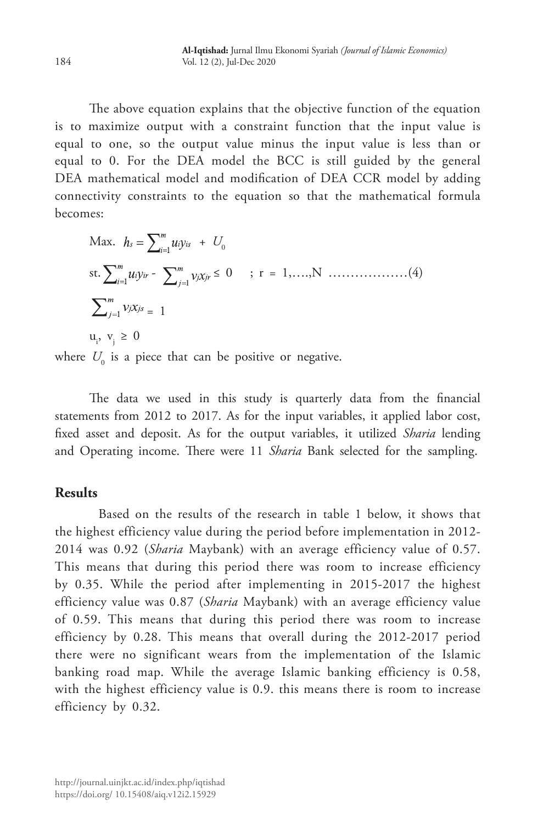The above equation explains that the objective function of the equation is to maximize output with a constraint function that the input value is equal to one, so the output value minus the input value is less than or equal to 0. For the DEA model the BCC is still guided by the general DEA mathematical model and modification of DEA CCR model by adding connectivity constraints to the equation so that the mathematical formula becomes:

Max. 
$$
h_s = \sum_{i=1}^{m} u_i y_{is} + U_0
$$
  
\nst.  $\sum_{i=1}^{m} u_i y_{ir} - \sum_{j=1}^{m} v_j x_{jr} \le 0$  ;  $r = 1,...,N$  ....... (4)  
\n $\sum_{j=1}^{m} v_j x_{js} = 1$   
\n $u_i, v_j \ge 0$ 

where  $U_0$  is a piece that can be positive or negative.

The data we used in this study is quarterly data from the financial statements from 2012 to 2017. As for the input variables, it applied labor cost, fixed asset and deposit. As for the output variables, it utilized *Sharia* lending and Operating income. There were 11 *Sharia* Bank selected for the sampling.

# **Results**

Based on the results of the research in table 1 below, it shows that the highest efficiency value during the period before implementation in 2012- 2014 was 0.92 (*Sharia* Maybank) with an average efficiency value of 0.57. This means that during this period there was room to increase efficiency by 0.35. While the period after implementing in 2015-2017 the highest efficiency value was 0.87 (*Sharia* Maybank) with an average efficiency value of 0.59. This means that during this period there was room to increase efficiency by 0.28. This means that overall during the 2012-2017 period there were no significant wears from the implementation of the Islamic banking road map. While the average Islamic banking efficiency is 0.58, with the highest efficiency value is 0.9. this means there is room to increase efficiency by 0.32.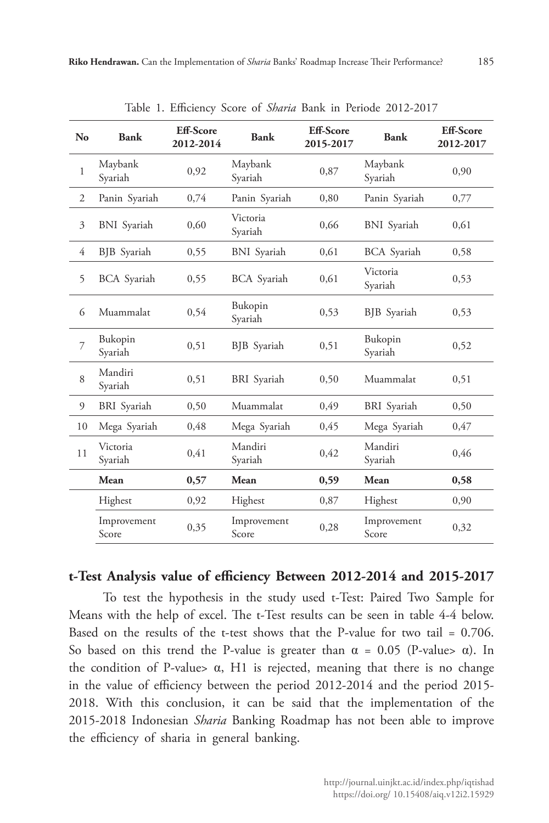| N <sub>o</sub> | Bank                 | <b>Eff-Score</b><br>2012-2014 | Bank                 | <b>Eff-Score</b><br>2015-2017 | Bank                 | <b>Eff-Score</b><br>2012-2017 |
|----------------|----------------------|-------------------------------|----------------------|-------------------------------|----------------------|-------------------------------|
| $\mathbf{1}$   | Maybank<br>Syariah   | 0,92                          | Maybank<br>Syariah   | 0,87                          | Maybank<br>Syariah   | 0,90                          |
| $\overline{2}$ | Panin Syariah        | 0,74                          | Panin Syariah        | 0,80                          | Panin Syariah        | 0,77                          |
| 3              | <b>BNI</b> Syariah   | 0,60                          | Victoria<br>Syariah  | 0,66                          | <b>BNI</b> Syariah   | 0,61                          |
| 4              | <b>BJB</b> Syariah   | 0,55                          | <b>BNI</b> Syariah   | 0,61                          | <b>BCA</b> Syariah   | 0,58                          |
| 5              | <b>BCA</b> Syariah   | 0,55                          | <b>BCA</b> Syariah   | 0,61                          | Victoria<br>Syariah  | 0,53                          |
| 6              | Muammalat            | 0,54                          | Bukopin<br>Syariah   | 0,53                          | BJB Syariah          | 0,53                          |
| 7              | Bukopin<br>Syariah   | 0,51                          | BJB Syariah          | 0,51                          | Bukopin<br>Syariah   | 0,52                          |
| 8              | Mandiri<br>Syariah   | 0,51                          | <b>BRI</b> Syariah   | 0,50                          | Muammalat            | 0,51                          |
| 9              | <b>BRI</b> Syariah   | 0,50                          | Muammalat            | 0.49                          | <b>BRI</b> Syariah   | 0,50                          |
| 10             | Mega Syariah         | 0,48                          | Mega Syariah         | 0,45                          | Mega Syariah         | 0,47                          |
| 11             | Victoria<br>Syariah  | 0,41                          | Mandiri<br>Syariah   | 0,42                          | Mandiri<br>Syariah   | 0,46                          |
|                | Mean                 | 0,57                          | Mean                 | 0,59                          | Mean                 | 0,58                          |
|                | Highest              | 0,92                          | Highest              | 0,87                          | Highest              | 0,90                          |
|                | Improvement<br>Score | 0,35                          | Improvement<br>Score | 0,28                          | Improvement<br>Score | 0,32                          |

Table 1. Efficiency Score of *Sharia* Bank in Periode 2012-2017

# **t-Test Analysis value of efficiency Between 2012-2014 and 2015-2017**

To test the hypothesis in the study used t-Test: Paired Two Sample for Means with the help of excel. The t-Test results can be seen in table 4-4 below. Based on the results of the t-test shows that the P-value for two tail = 0.706. So based on this trend the P-value is greater than  $\alpha = 0.05$  (P-value>  $\alpha$ ). In the condition of P-value>  $\alpha$ , H1 is rejected, meaning that there is no change in the value of efficiency between the period 2012-2014 and the period 2015- 2018. With this conclusion, it can be said that the implementation of the 2015-2018 Indonesian *Sharia* Banking Roadmap has not been able to improve the efficiency of sharia in general banking.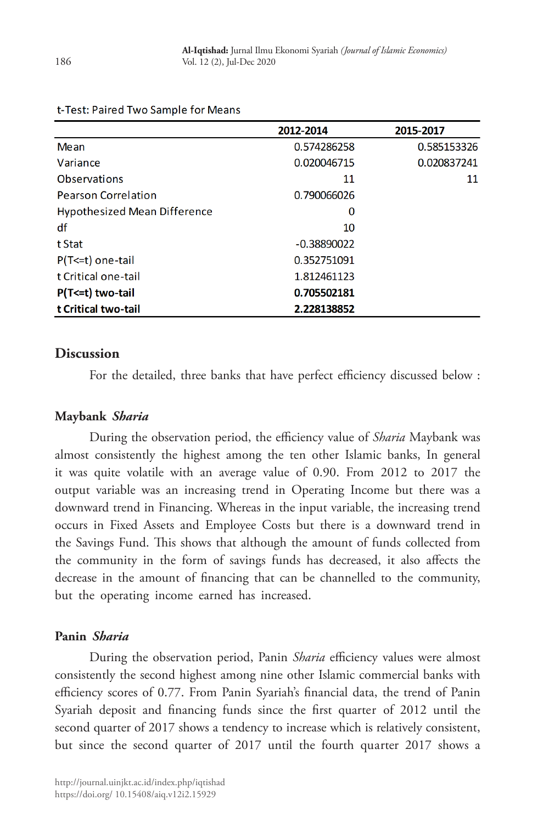|                                     | 2012-2014     | 2015-2017   |
|-------------------------------------|---------------|-------------|
| Mean                                | 0.574286258   | 0.585153326 |
| Variance                            | 0.020046715   | 0.020837241 |
| Observations                        | 11            | 11          |
| <b>Pearson Correlation</b>          | 0.790066026   |             |
| <b>Hypothesized Mean Difference</b> | 0             |             |
| df                                  | 10            |             |
| t Stat                              | $-0.38890022$ |             |
| $P(T \le t)$ one-tail               | 0.352751091   |             |
| t Critical one-tail                 | 1.812461123   |             |
| $P(T \le t)$ two-tail               | 0.705502181   |             |
| t Critical two-tail                 | 2.228138852   |             |

#### t-Test: Paired Two Sample for Means

### **Discussion**

For the detailed, three banks that have perfect efficiency discussed below :

### **Maybank** *Sharia*

During the observation period, the efficiency value of *Sharia* Maybank was almost consistently the highest among the ten other Islamic banks, In general it was quite volatile with an average value of 0.90. From 2012 to 2017 the output variable was an increasing trend in Operating Income but there was a downward trend in Financing. Whereas in the input variable, the increasing trend occurs in Fixed Assets and Employee Costs but there is a downward trend in the Savings Fund. This shows that although the amount of funds collected from the community in the form of savings funds has decreased, it also affects the decrease in the amount of financing that can be channelled to the community, but the operating income earned has increased.

### **Panin** *Sharia*

During the observation period, Panin *Sharia* efficiency values were almost consistently the second highest among nine other Islamic commercial banks with efficiency scores of 0.77. From Panin Syariah's financial data, the trend of Panin Syariah deposit and financing funds since the first quarter of 2012 until the second quarter of 2017 shows a tendency to increase which is relatively consistent, but since the second quarter of 2017 until the fourth quarter 2017 shows a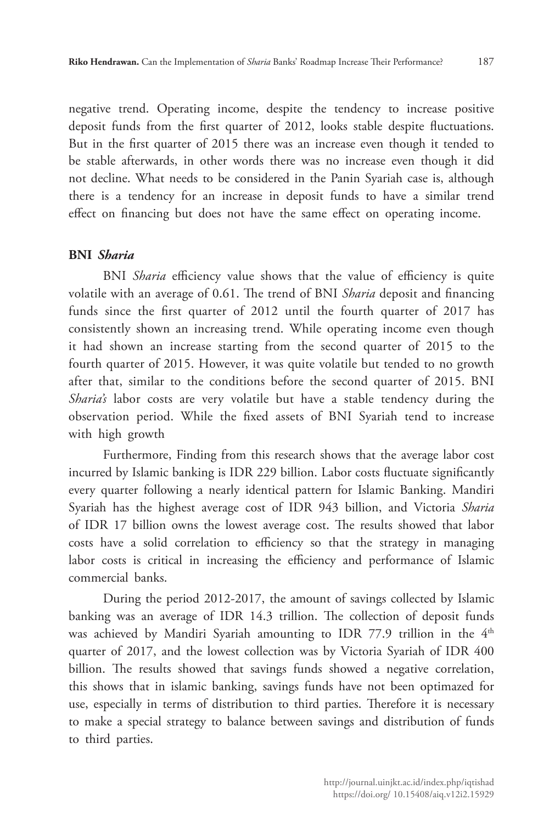negative trend. Operating income, despite the tendency to increase positive deposit funds from the first quarter of 2012, looks stable despite fluctuations. But in the first quarter of 2015 there was an increase even though it tended to be stable afterwards, in other words there was no increase even though it did not decline. What needs to be considered in the Panin Syariah case is, although there is a tendency for an increase in deposit funds to have a similar trend effect on financing but does not have the same effect on operating income.

### **BNI** *Sharia*

BNI *Sharia* efficiency value shows that the value of efficiency is quite volatile with an average of 0.61. The trend of BNI *Sharia* deposit and financing funds since the first quarter of 2012 until the fourth quarter of 2017 has consistently shown an increasing trend. While operating income even though it had shown an increase starting from the second quarter of 2015 to the fourth quarter of 2015. However, it was quite volatile but tended to no growth after that, similar to the conditions before the second quarter of 2015. BNI *Sharia's* labor costs are very volatile but have a stable tendency during the observation period. While the fixed assets of BNI Syariah tend to increase with high growth

Furthermore, Finding from this research shows that the average labor cost incurred by Islamic banking is IDR 229 billion. Labor costs fluctuate significantly every quarter following a nearly identical pattern for Islamic Banking. Mandiri Syariah has the highest average cost of IDR 943 billion, and Victoria *Sharia* of IDR 17 billion owns the lowest average cost. The results showed that labor costs have a solid correlation to efficiency so that the strategy in managing labor costs is critical in increasing the efficiency and performance of Islamic commercial banks.

During the period 2012-2017, the amount of savings collected by Islamic banking was an average of IDR 14.3 trillion. The collection of deposit funds was achieved by Mandiri Syariah amounting to IDR 77.9 trillion in the 4<sup>th</sup> quarter of 2017, and the lowest collection was by Victoria Syariah of IDR 400 billion. The results showed that savings funds showed a negative correlation, this shows that in islamic banking, savings funds have not been optimazed for use, especially in terms of distribution to third parties. Therefore it is necessary to make a special strategy to balance between savings and distribution of funds to third parties.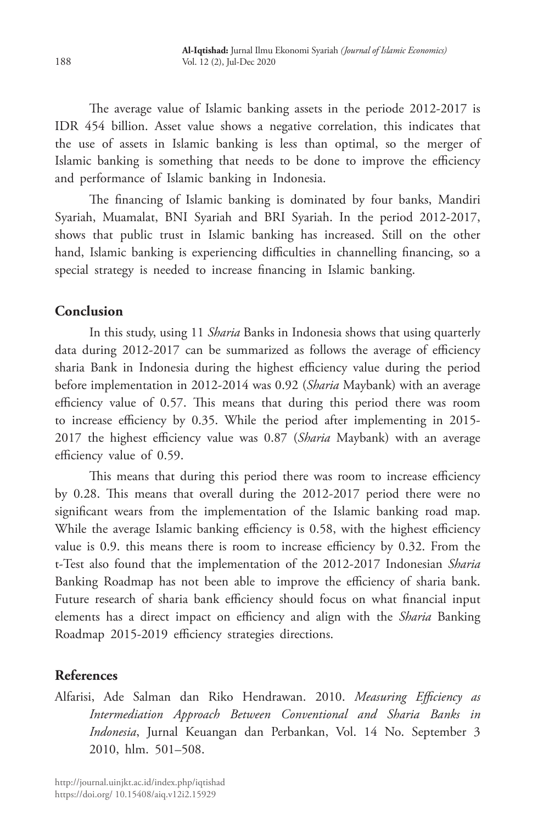The average value of Islamic banking assets in the periode 2012-2017 is IDR 454 billion. Asset value shows a negative correlation, this indicates that the use of assets in Islamic banking is less than optimal, so the merger of Islamic banking is something that needs to be done to improve the efficiency and performance of Islamic banking in Indonesia.

The financing of Islamic banking is dominated by four banks, Mandiri Syariah, Muamalat, BNI Syariah and BRI Syariah. In the period 2012-2017, shows that public trust in Islamic banking has increased. Still on the other hand, Islamic banking is experiencing difficulties in channelling financing, so a special strategy is needed to increase financing in Islamic banking.

# **Conclusion**

In this study, using 11 *Sharia* Banks in Indonesia shows that using quarterly data during 2012-2017 can be summarized as follows the average of efficiency sharia Bank in Indonesia during the highest efficiency value during the period before implementation in 2012-2014 was 0.92 (*Sharia* Maybank) with an average efficiency value of 0.57. This means that during this period there was room to increase efficiency by 0.35. While the period after implementing in 2015- 2017 the highest efficiency value was 0.87 (*Sharia* Maybank) with an average efficiency value of 0.59.

This means that during this period there was room to increase efficiency by 0.28. This means that overall during the 2012-2017 period there were no significant wears from the implementation of the Islamic banking road map. While the average Islamic banking efficiency is 0.58, with the highest efficiency value is 0.9. this means there is room to increase efficiency by 0.32. From the t-Test also found that the implementation of the 2012-2017 Indonesian *Sharia* Banking Roadmap has not been able to improve the efficiency of sharia bank. Future research of sharia bank efficiency should focus on what financial input elements has a direct impact on efficiency and align with the *Sharia* Banking Roadmap 2015-2019 efficiency strategies directions.

# **References**

Alfarisi, Ade Salman dan Riko Hendrawan. 2010. *Measuring Efficiency as Intermediation Approach Between Conventional and Sharia Banks in Indonesia*, Jurnal Keuangan dan Perbankan, Vol. 14 No. September 3 2010, hlm. 501–508.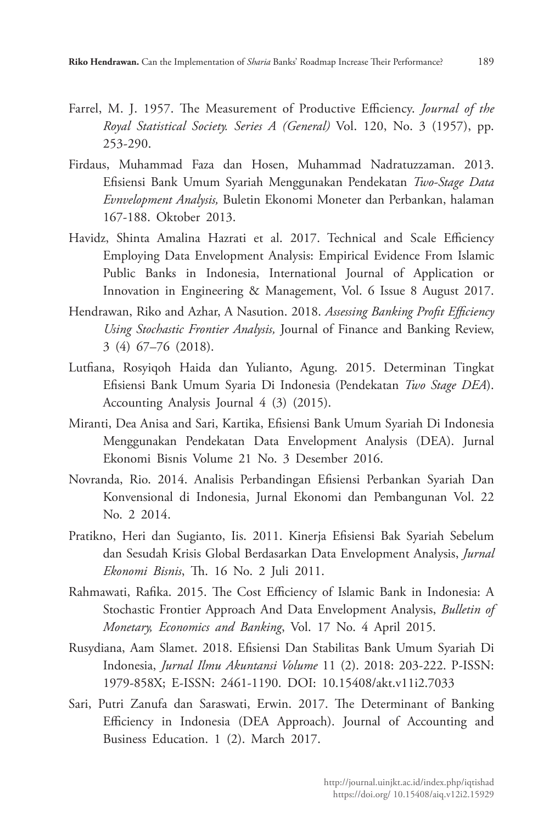- Farrel, M. J. 1957. The Measurement of Productive Efficiency. *Journal of the Royal Statistical Society. Series A (General)* Vol. 120, No. 3 (1957), pp. 253-290.
- Firdaus, Muhammad Faza dan Hosen, Muhammad Nadratuzzaman. 2013. Efisiensi Bank Umum Syariah Menggunakan Pendekatan *Two-Stage Data Evnvelopment Analysis,* Buletin Ekonomi Moneter dan Perbankan, halaman 167-188. Oktober 2013.
- Havidz, Shinta Amalina Hazrati et al. 2017. Technical and Scale Efficiency Employing Data Envelopment Analysis: Empirical Evidence From Islamic Public Banks in Indonesia, International Journal of Application or Innovation in Engineering & Management, Vol. 6 Issue 8 August 2017.
- Hendrawan, Riko and Azhar, A Nasution. 2018. *Assessing Banking Profit Efficiency Using Stochastic Frontier Analysis,* Journal of Finance and Banking Review, 3 (4) 67–76 (2018).
- Lutfiana, Rosyiqoh Haida dan Yulianto, Agung. 2015. Determinan Tingkat Efisiensi Bank Umum Syaria Di Indonesia (Pendekatan *Two Stage DEA*). Accounting Analysis Journal 4 (3) (2015).
- Miranti, Dea Anisa and Sari, Kartika, Efisiensi Bank Umum Syariah Di Indonesia Menggunakan Pendekatan Data Envelopment Analysis (DEA). Jurnal Ekonomi Bisnis Volume 21 No. 3 Desember 2016.
- Novranda, Rio. 2014. Analisis Perbandingan Efisiensi Perbankan Syariah Dan Konvensional di Indonesia, Jurnal Ekonomi dan Pembangunan Vol. 22 No. 2 2014.
- Pratikno, Heri dan Sugianto, Iis. 2011. Kinerja Efisiensi Bak Syariah Sebelum dan Sesudah Krisis Global Berdasarkan Data Envelopment Analysis, *Jurnal Ekonomi Bisnis*, Th. 16 No. 2 Juli 2011.
- Rahmawati, Rafika. 2015. The Cost Efficiency of Islamic Bank in Indonesia: A Stochastic Frontier Approach And Data Envelopment Analysis, *Bulletin of Monetary, Economics and Banking*, Vol. 17 No. 4 April 2015.
- Rusydiana, Aam Slamet. 2018. Efisiensi Dan Stabilitas Bank Umum Syariah Di Indonesia, *Jurnal Ilmu Akuntansi Volume* 11 (2). 2018: 203-222. P-ISSN: 1979-858X; E-ISSN: 2461-1190. DOI: 10.15408/akt.v11i2.7033
- Sari, Putri Zanufa dan Saraswati, Erwin. 2017. The Determinant of Banking Efficiency in Indonesia (DEA Approach). Journal of Accounting and Business Education. 1 (2). March 2017.